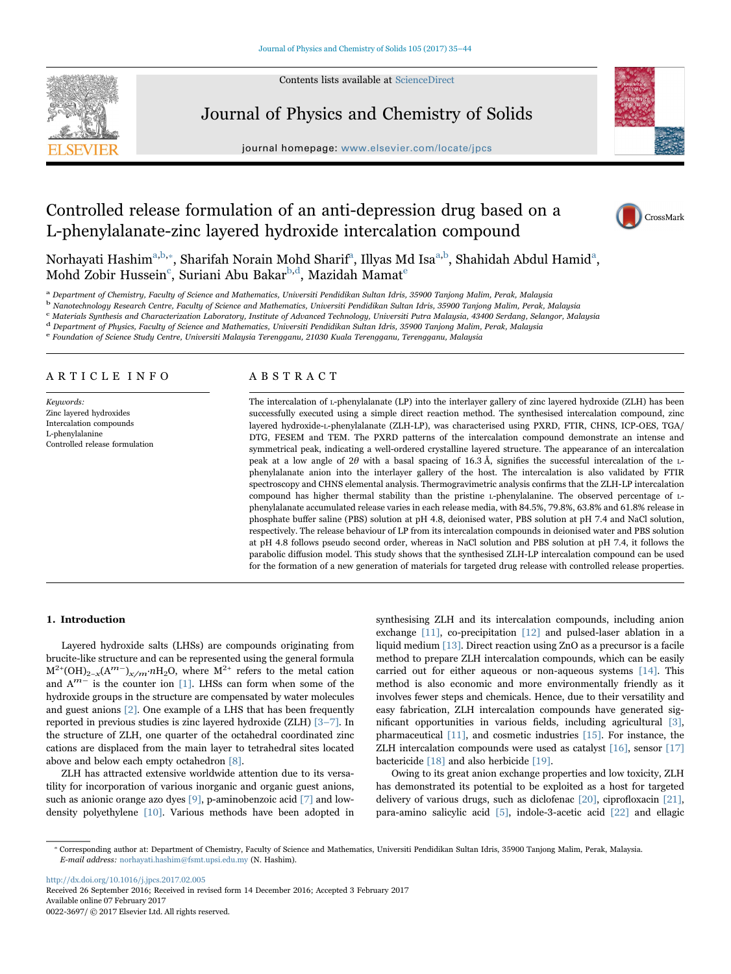Contents lists available at [ScienceDirect](http://www.sciencedirect.com/science/journal/00223697)



Journal of Physics and Chemistry of Solids

journal homepage: [www.elsevier.com/locate/jpcs](http://www.elsevier.com/locate/jpcs)



# Controlled release formulation of an anti-depression drug based on a L-phenylalanate-zinc layered hydroxide intercalation compound



Norhayati Hashim<sup>a,[b,](#page-0-1)</sup>\*[, Sharifah Norain Mohd Sharif](#page-0-2)<sup>a</sup>[,](#page-0-0) [Illyas](#page-0-0) [Md](#page-0-0) [Isa](#page-0-0)<sup>a,b</sup>[, Shahidah Abdul Hamid](#page-0-1)<sup>[a](#page-0-0)</sup>, Mohd Zobir Huss[e](#page-0-5)in $^{\rm c}$ [, Suriani Abu Bakar](#page-0-3) $^{\rm b,d}$  $^{\rm b,d}$  $^{\rm b,d}$ [, Mazidah Mamat](#page-0-4) $^{\rm e}$ 

<span id="page-0-0"></span><sup>a</sup> Department of Chemistry, Faculty of Science and Mathematics, Universiti Pendidikan Sultan Idris, 35900 Tanjong Malim, Perak, Malaysia

<span id="page-0-1"></span><sup>b</sup> Nanotechnology Research Centre, Faculty of Science and Mathematics, Universiti Pendidikan Sultan Idris, 35900 Tanjong Malim, Perak, Malaysia

<span id="page-0-3"></span><sup>c</sup> Materials Synthesis and Characterization Laboratory, Institute of Advanced Technology, Universiti Putra Malaysia, 43400 Serdang, Selangor, Malaysia

<span id="page-0-5"></span><span id="page-0-4"></span><sup>d</sup> Department of Physics, Faculty of Science and Mathematics, Universiti Pendidikan Sultan Idris, 35900 Tanjong Malim, Perak, Malaysia<br><sup>e</sup> Foundation of Science Study Centre, Universiti Malaysia Terengganu, 21030 Kuala Te

# ARTICLE INFO

Keuwords: Zinc layered hydroxides Intercalation compounds L-phenylalanine Controlled release formulation

# ABSTRACT

The intercalation of L-phenylalanate (LP) into the interlayer gallery of zinc layered hydroxide (ZLH) has been successfully executed using a simple direct reaction method. The synthesised intercalation compound, zinc layered hydroxide-L-phenylalanate (ZLH-LP), was characterised using PXRD, FTIR, CHNS, ICP-OES, TGA/ DTG, FESEM and TEM. The PXRD patterns of the intercalation compound demonstrate an intense and symmetrical peak, indicating a well-ordered crystalline layered structure. The appearance of an intercalation peak at a low angle of 2θ with a basal spacing of 16.3 Å, signifies the successful intercalation of the Lphenylalanate anion into the interlayer gallery of the host. The intercalation is also validated by FTIR spectroscopy and CHNS elemental analysis. Thermogravimetric analysis confirms that the ZLH-LP intercalation compound has higher thermal stability than the pristine L-phenylalanine. The observed percentage of Lphenylalanate accumulated release varies in each release media, with 84.5%, 79.8%, 63.8% and 61.8% release in phosphate buffer saline (PBS) solution at pH 4.8, deionised water, PBS solution at pH 7.4 and NaCl solution, respectively. The release behaviour of LP from its intercalation compounds in deionised water and PBS solution at pH 4.8 follows pseudo second order, whereas in NaCl solution and PBS solution at pH 7.4, it follows the parabolic diffusion model. This study shows that the synthesised ZLH-LP intercalation compound can be used for the formation of a new generation of materials for targeted drug release with controlled release properties.

## 1. Introduction

Layered hydroxide salts (LHSs) are compounds originating from brucite-like structure and can be represented using the general formula  $M^{2+}(OH)_{2-x}(A^{m-})_{x/m}$ .*n*H<sub>2</sub>O, where  $M^{2+}$  refers to the metal cation and Am<sup>−</sup> is the counter ion [\[1\]](#page-8-0). LHSs can form when some of the hydroxide groups in the structure are compensated by water molecules and guest anions [\[2\].](#page-8-1) One example of a LHS that has been frequently reported in previous studies is zinc layered hydroxide (ZLH) [\[3](#page-8-2)–7]. In the structure of ZLH, one quarter of the octahedral coordinated zinc cations are displaced from the main layer to tetrahedral sites located above and below each empty octahedron [\[8\].](#page-8-3)

ZLH has attracted extensive worldwide attention due to its versatility for incorporation of various inorganic and organic guest anions, such as anionic orange azo dyes [\[9\]](#page-8-4), p-aminobenzoic acid [\[7\]](#page-8-5) and lowdensity polyethylene [\[10\]](#page-8-6). Various methods have been adopted in synthesising ZLH and its intercalation compounds, including anion exchange [\[11\],](#page-8-7) co-precipitation [\[12\]](#page-8-8) and pulsed-laser ablation in a liquid medium [\[13\].](#page-8-9) Direct reaction using ZnO as a precursor is a facile method to prepare ZLH intercalation compounds, which can be easily carried out for either aqueous or non-aqueous systems [\[14\].](#page-8-10) This method is also economic and more environmentally friendly as it involves fewer steps and chemicals. Hence, due to their versatility and easy fabrication, ZLH intercalation compounds have generated significant opportunities in various fields, including agricultural [\[3\]](#page-8-2), pharmaceutical [\[11\],](#page-8-7) and cosmetic industries [\[15\].](#page-8-11) For instance, the ZLH intercalation compounds were used as catalyst [\[16\],](#page-8-12) sensor [\[17\]](#page-8-13) bactericide [\[18\]](#page-8-14) and also herbicide [\[19\].](#page-8-15)

Owing to its great anion exchange properties and low toxicity, ZLH has demonstrated its potential to be exploited as a host for targeted delivery of various drugs, such as diclofenac [\[20\]](#page-8-16), ciprofloxacin [\[21\]](#page-8-17), para-amino salicylic acid [\[5\],](#page-8-18) indole-3-acetic acid [\[22\]](#page-8-19) and ellagic

<http://dx.doi.org/10.1016/j.jpcs.2017.02.005>

Received 26 September 2016; Received in revised form 14 December 2016; Accepted 3 February 2017 Available online 07 February 2017 0022-3697/ © 2017 Elsevier Ltd. All rights reserved.

<span id="page-0-2"></span><sup>⁎</sup> Corresponding author at: Department of Chemistry, Faculty of Science and Mathematics, Universiti Pendidikan Sultan Idris, 35900 Tanjong Malim, Perak, Malaysia. E-mail address: norhayati.hashim@fsmt.upsi.edu.my (N. Hashim).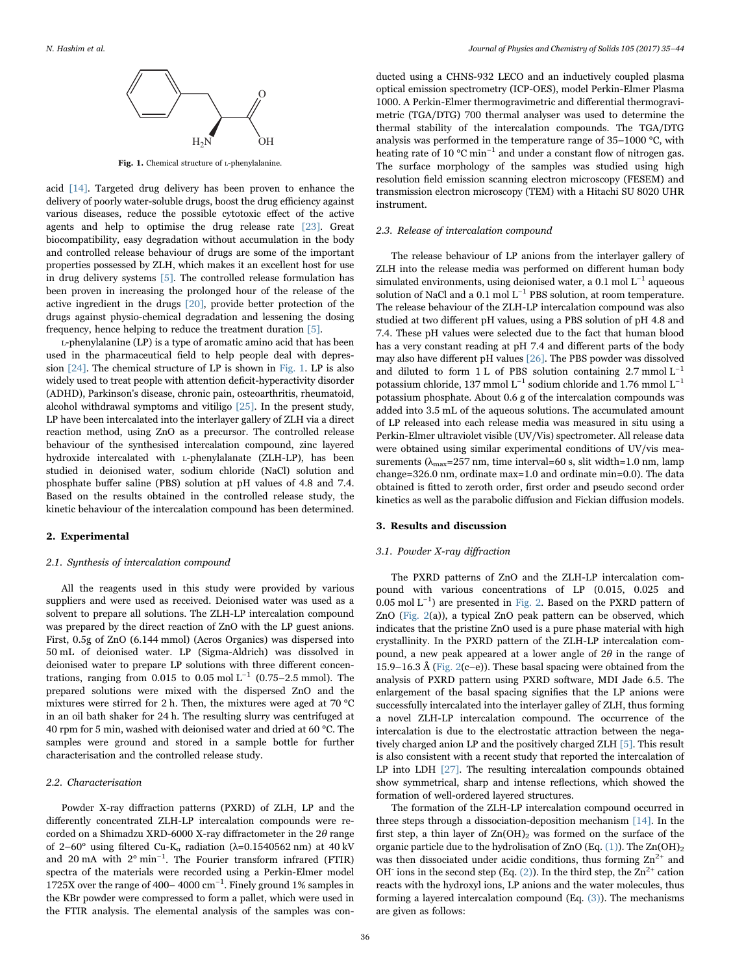<span id="page-1-0"></span>

Fig. 1. Chemical structure of L-phenylalanine.

acid [\[14\]](#page-8-10). Targeted drug delivery has been proven to enhance the delivery of poorly water-soluble drugs, boost the drug efficiency against various diseases, reduce the possible cytotoxic effect of the active agents and help to optimise the drug release rate [\[23\].](#page-8-20) Great biocompatibility, easy degradation without accumulation in the body and controlled release behaviour of drugs are some of the important properties possessed by ZLH, which makes it an excellent host for use in drug delivery systems [\[5\]](#page-8-18). The controlled release formulation has been proven in increasing the prolonged hour of the release of the active ingredient in the drugs [\[20\],](#page-8-16) provide better protection of the drugs against physio-chemical degradation and lessening the dosing frequency, hence helping to reduce the treatment duration [\[5\].](#page-8-18)

L-phenylalanine (LP) is a type of aromatic amino acid that has been used in the pharmaceutical field to help people deal with depression [\[24\]](#page-8-21). The chemical structure of LP is shown in [Fig. 1](#page-1-0). LP is also widely used to treat people with attention deficit-hyperactivity disorder (ADHD), Parkinson's disease, chronic pain, osteoarthritis, rheumatoid, alcohol withdrawal symptoms and vitiligo [\[25\]](#page-8-22). In the present study, LP have been intercalated into the interlayer gallery of ZLH via a direct reaction method, using ZnO as a precursor. The controlled release behaviour of the synthesised intercalation compound, zinc layered hydroxide intercalated with L-phenylalanate (ZLH-LP), has been studied in deionised water, sodium chloride (NaCl) solution and phosphate buffer saline (PBS) solution at pH values of 4.8 and 7.4. Based on the results obtained in the controlled release study, the kinetic behaviour of the intercalation compound has been determined.

# 2. Experimental

#### 2.1. Synthesis of intercalation compound

All the reagents used in this study were provided by various suppliers and were used as received. Deionised water was used as a solvent to prepare all solutions. The ZLH-LP intercalation compound was prepared by the direct reaction of ZnO with the LP guest anions. First, 0.5g of ZnO (6.144 mmol) (Acros Organics) was dispersed into 50 mL of deionised water. LP (Sigma-Aldrich) was dissolved in deionised water to prepare LP solutions with three different concentrations, ranging from 0.015 to 0.05 mol L<sup>-1</sup> (0.75–2.5 mmol). The prepared solutions were mixed with the dispersed ZnO and the mixtures were stirred for 2 h. Then, the mixtures were aged at 70 °C in an oil bath shaker for 24 h. The resulting slurry was centrifuged at 40 rpm for 5 min, washed with deionised water and dried at 60 °C. The samples were ground and stored in a sample bottle for further characterisation and the controlled release study.

#### 2.2. Characterisation

Powder X-ray diffraction patterns (PXRD) of ZLH, LP and the differently concentrated ZLH-LP intercalation compounds were recorded on a Shimadzu XRD-6000 X-ray diffractometer in the  $2\theta$  range of 2–60° using filtered Cu-K<sub>α</sub> radiation ( $\lambda$ =0.1540562 nm) at 40 kV and 20 mA with 2° min−<sup>1</sup> . The Fourier transform infrared (FTIR) spectra of the materials were recorded using a Perkin-Elmer model 1725X over the range of 400– 4000 cm−<sup>1</sup> . Finely ground 1% samples in the KBr powder were compressed to form a pallet, which were used in the FTIR analysis. The elemental analysis of the samples was con-

ducted using a CHNS-932 LECO and an inductively coupled plasma optical emission spectrometry (ICP-OES), model Perkin-Elmer Plasma 1000. A Perkin-Elmer thermogravimetric and differential thermogravimetric (TGA/DTG) 700 thermal analyser was used to determine the thermal stability of the intercalation compounds. The TGA/DTG analysis was performed in the temperature range of 35–1000 °C, with heating rate of 10 °C min−<sup>1</sup> and under a constant flow of nitrogen gas. The surface morphology of the samples was studied using high resolution field emission scanning electron microscopy (FESEM) and transmission electron microscopy (TEM) with a Hitachi SU 8020 UHR instrument.

#### 2.3. Release of intercalation compound

The release behaviour of LP anions from the interlayer gallery of ZLH into the release media was performed on different human body simulated environments, using deionised water, a 0.1 mol  $L^{-1}$  aqueous solution of NaCl and a 0.1 mol  $L^{-1}$  PBS solution, at room temperature. The release behaviour of the ZLH-LP intercalation compound was also studied at two different pH values, using a PBS solution of pH 4.8 and 7.4. These pH values were selected due to the fact that human blood has a very constant reading at pH 7.4 and different parts of the body may also have different pH values [\[26\].](#page-8-23) The PBS powder was dissolved and diluted to form 1 L of PBS solution containing  $2.7 \text{ mmol L}^{-1}$ potassium chloride, 137 mmol L−<sup>1</sup> sodium chloride and 1.76 mmol L−<sup>1</sup> potassium phosphate. About 0.6 g of the intercalation compounds was added into 3.5 mL of the aqueous solutions. The accumulated amount of LP released into each release media was measured in situ using a Perkin-Elmer ultraviolet visible (UV/Vis) spectrometer. All release data were obtained using similar experimental conditions of UV/vis measurements ( $\lambda_{\text{max}}$ =257 nm, time interval=60 s, slit width=1.0 nm, lamp change=326.0 nm, ordinate max=1.0 and ordinate min=0.0). The data obtained is fitted to zeroth order, first order and pseudo second order kinetics as well as the parabolic diffusion and Fickian diffusion models.

## 3. Results and discussion

#### 3.1. Powder X-ray diffraction

The PXRD patterns of ZnO and the ZLH-LP intercalation compound with various concentrations of LP (0.015, 0.025 and 0.05 mol L−<sup>1</sup> ) are presented in [Fig. 2](#page-2-0). Based on the PXRD pattern of ZnO ([Fig. 2\(](#page-2-0)a)), a typical ZnO peak pattern can be observed, which indicates that the pristine ZnO used is a pure phase material with high crystallinity. In the PXRD pattern of the ZLH-LP intercalation compound, a new peak appeared at a lower angle of  $2\theta$  in the range of 15.9–16.3 Å ([Fig. 2\(](#page-2-0)c–e)). These basal spacing were obtained from the analysis of PXRD pattern using PXRD software, MDI Jade 6.5. The enlargement of the basal spacing signifies that the LP anions were successfully intercalated into the interlayer galley of ZLH, thus forming a novel ZLH-LP intercalation compound. The occurrence of the intercalation is due to the electrostatic attraction between the negatively charged anion LP and the positively charged ZLH [\[5\].](#page-8-18) This result is also consistent with a recent study that reported the intercalation of LP into LDH [\[27\]](#page-8-24). The resulting intercalation compounds obtained show symmetrical, sharp and intense reflections, which showed the formation of well-ordered layered structures.

The formation of the ZLH-LP intercalation compound occurred in three steps through a dissociation-deposition mechanism [\[14\].](#page-8-10) In the first step, a thin layer of  $Zn(OH)_2$  was formed on the surface of the organic particle due to the hydrolisation of ZnO (Eq.  $(1)$ ). The Zn $(OH)_2$ was then dissociated under acidic conditions, thus forming  $\text{Zn}^{2+}$  and OH ions in the second step (Eq.  $(2)$ ). In the third step, the  $\text{Zn}^{2+}$  cation reacts with the hydroxyl ions, LP anions and the water molecules, thus forming a layered intercalation compound (Eq. [\(3\)](#page-2-3)). The mechanisms are given as follows: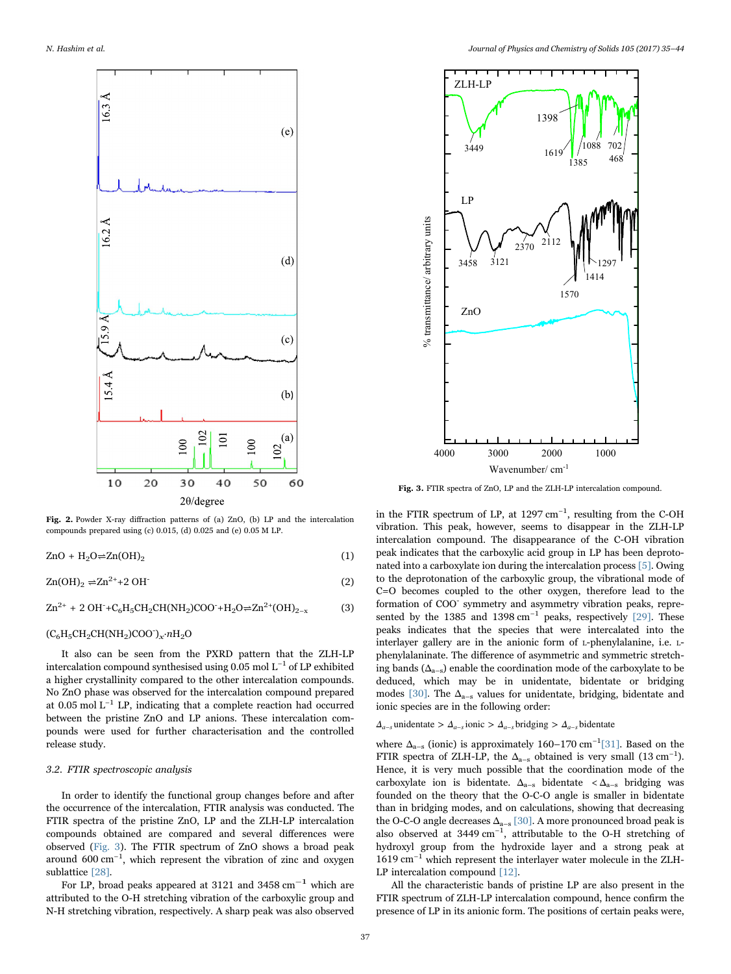<span id="page-2-0"></span>

Fig. 2. Powder X-ray diffraction patterns of (a) ZnO, (b) LP and the intercalation compounds prepared using (c) 0.015, (d) 0.025 and (e) 0.05 M LP.

<span id="page-2-1"></span> $ZnO + H_2O \rightleftharpoons Zn(OH)_2$  (1)

<span id="page-2-2"></span> $\text{Zn}(\text{OH})_2 \rightleftharpoons \text{Zn}^{2+} + 2 \text{OH}^-$  (2)

<span id="page-2-3"></span> $\text{Zn}^{2+}$  + 2 OH<sup>-</sup>+C<sub>6</sub>H<sub>5</sub>CH<sub>2</sub>CH(NH<sub>2</sub>)COO<sup>-</sup>+H<sub>2</sub>O $\rightleftharpoons$ Zn<sup>2+</sup>(OH)<sub>2-x</sub> (3)

# $(C_6H_5CH_2CH(NH_2)COO^{\dagger})_x \cdot nH_2O$

It also can be seen from the PXRD pattern that the ZLH-LP intercalation compound synthesised using 0.05 mol L−<sup>1</sup> of LP exhibited a higher crystallinity compared to the other intercalation compounds. No ZnO phase was observed for the intercalation compound prepared at 0.05 mol  $\mathrm{L}^{-1}$  LP, indicating that a complete reaction had occurred between the pristine ZnO and LP anions. These intercalation compounds were used for further characterisation and the controlled release study.

# 3.2. FTIR spectroscopic analysis

In order to identify the functional group changes before and after the occurrence of the intercalation, FTIR analysis was conducted. The FTIR spectra of the pristine ZnO, LP and the ZLH-LP intercalation compounds obtained are compared and several differences were observed [\(Fig. 3\)](#page-2-4). The FTIR spectrum of ZnO shows a broad peak around 600 cm<sup>-1</sup>, which represent the vibration of zinc and oxygen sublattice [\[28\]](#page-8-25).

For LP, broad peaks appeared at 3121 and 3458  $cm^{-1}$  which are attributed to the O-H stretching vibration of the carboxylic group and N-H stretching vibration, respectively. A sharp peak was also observed

<span id="page-2-4"></span>

Fig. 3. FTIR spectra of ZnO, LP and the ZLH-LP intercalation compound.

in the FTIR spectrum of LP, at 1297 cm<sup>-1</sup>, resulting from the C-OH vibration. This peak, however, seems to disappear in the ZLH-LP intercalation compound. The disappearance of the C-OH vibration peak indicates that the carboxylic acid group in LP has been deprotonated into a carboxylate ion during the intercalation process [\[5\].](#page-8-18) Owing to the deprotonation of the carboxylic group, the vibrational mode of C=O becomes coupled to the other oxygen, therefore lead to the formation of COO- symmetry and asymmetry vibration peaks, repre-sented by the 1385 and 1398 cm<sup>-1</sup> peaks, respectively [\[29\].](#page-8-26) These peaks indicates that the species that were intercalated into the interlayer gallery are in the anionic form of L-phenylalanine, i.e. Lphenylalaninate. The difference of asymmetric and symmetric stretching bands  $(\Delta_{a-s})$  enable the coordination mode of the carboxylate to be deduced, which may be in unidentate, bidentate or bridging modes [\[30\]](#page-8-27). The  $\Delta_{a-s}$  values for unidentate, bridging, bidentate and ionic species are in the following order:

# $\Delta_{a-s}$  unidentate >  $\Delta_{a-s}$  ionic >  $\Delta_{a-s}$  bridging >  $\Delta_{a-s}$  bidentate

where  $\Delta_{a-s}$  (ionic) is approximately 160–170 cm<sup>-1</sup>[\[31\].](#page-8-28) Based on the FTIR spectra of ZLH-LP, the  $\Delta_{a-s}$  obtained is very small (13 cm<sup>-1</sup>). Hence, it is very much possible that the coordination mode of the carboxylate ion is bidentate.  $\Delta_{a-s}$  bidentate  $\langle \Delta_{a-s} \rangle$  bridging was founded on the theory that the O-C-O angle is smaller in bidentate than in bridging modes, and on calculations, showing that decreasing the O-C-O angle decreases  $\Delta_{a-s}$  [\[30\].](#page-8-27) A more pronounced broad peak is also observed at  $3449 \text{ cm}^{-1}$ , attributable to the O-H stretching of hydroxyl group from the hydroxide layer and a strong peak at 1619 cm−<sup>1</sup> which represent the interlayer water molecule in the ZLH-LP intercalation compound [\[12\].](#page-8-8)

All the characteristic bands of pristine LP are also present in the FTIR spectrum of ZLH-LP intercalation compound, hence confirm the presence of LP in its anionic form. The positions of certain peaks were,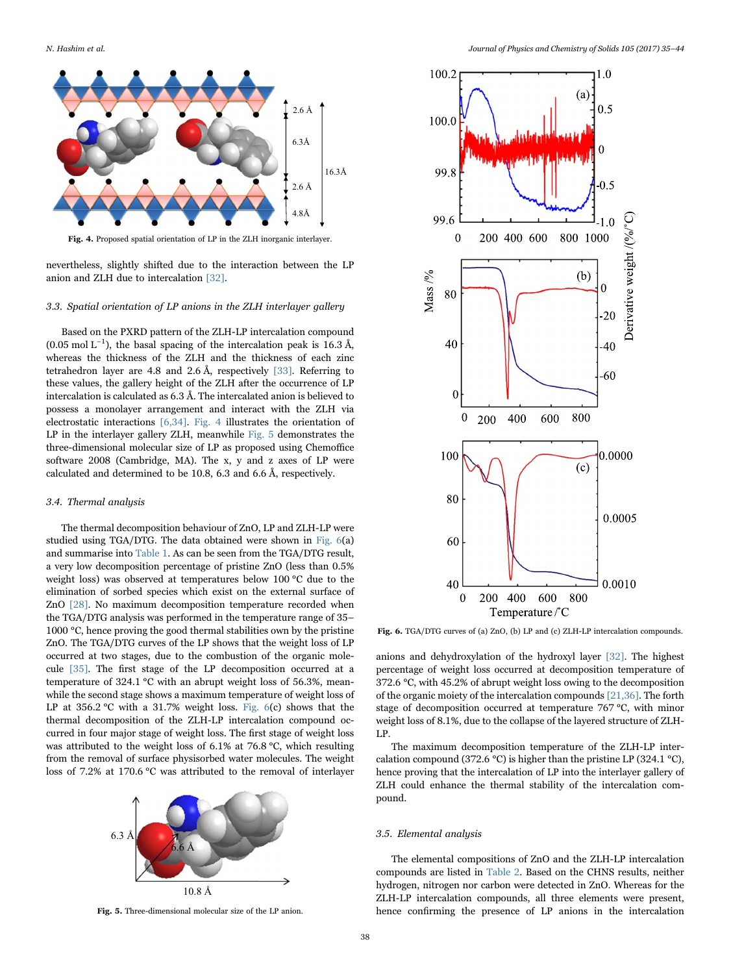<span id="page-3-0"></span>

Fig. 4. Proposed spatial orientation of LP in the ZLH inorganic interlayer.

nevertheless, slightly shifted due to the interaction between the LP anion and ZLH due to intercalation [\[32\].](#page-8-29)

# 3.3. Spatial orientation of LP anions in the ZLH interlayer gallery

Based on the PXRD pattern of the ZLH-LP intercalation compound  $(0.05 \text{ mol L}^{-1})$ , the basal spacing of the intercalation peak is 16.3 Å, whereas the thickness of the ZLH and the thickness of each zinc tetrahedron layer are 4.8 and 2.6 Å, respectively [\[33\].](#page-8-30) Referring to these values, the gallery height of the ZLH after the occurrence of LP intercalation is calculated as 6.3 Å. The intercalated anion is believed to possess a monolayer arrangement and interact with the ZLH via electrostatic interactions [\[6,34\]](#page-8-31). [Fig. 4](#page-3-0) illustrates the orientation of LP in the interlayer gallery ZLH, meanwhile [Fig. 5](#page-3-1) demonstrates the three-dimensional molecular size of LP as proposed using Chemoffice software 2008 (Cambridge, MA). The x, y and z axes of LP were calculated and determined to be 10.8, 6.3 and 6.6 Å, respectively.

### 3.4. Thermal analysis

The thermal decomposition behaviour of ZnO, LP and ZLH-LP were studied using TGA/DTG. The data obtained were shown in [Fig. 6\(](#page-3-2)a) and summarise into [Table 1.](#page-4-0) As can be seen from the TGA/DTG result, a very low decomposition percentage of pristine ZnO (less than 0.5% weight loss) was observed at temperatures below 100 °C due to the elimination of sorbed species which exist on the external surface of ZnO [\[28\].](#page-8-25) No maximum decomposition temperature recorded when the TGA/DTG analysis was performed in the temperature range of 35– 1000 °C, hence proving the good thermal stabilities own by the pristine ZnO. The TGA/DTG curves of the LP shows that the weight loss of LP occurred at two stages, due to the combustion of the organic molecule [\[35\].](#page-8-32) The first stage of the LP decomposition occurred at a temperature of 324.1 °C with an abrupt weight loss of 56.3%, meanwhile the second stage shows a maximum temperature of weight loss of LP at  $356.2$  °C with a  $31.7\%$  weight loss. Fig.  $6(c)$  shows that the thermal decomposition of the ZLH-LP intercalation compound occurred in four major stage of weight loss. The first stage of weight loss was attributed to the weight loss of 6.1% at 76.8 °C, which resulting from the removal of surface physisorbed water molecules. The weight loss of 7.2% at 170.6 °C was attributed to the removal of interlayer

<span id="page-3-1"></span>

Fig. 5. Three-dimensional molecular size of the LP anion.

<span id="page-3-2"></span>

Fig. 6. TGA/DTG curves of (a) ZnO, (b) LP and (c) ZLH-LP intercalation compounds.

anions and dehydroxylation of the hydroxyl layer [\[32\].](#page-8-29) The highest percentage of weight loss occurred at decomposition temperature of 372.6 °C, with 45.2% of abrupt weight loss owing to the decomposition of the organic moiety of the intercalation compounds [\[21,36\].](#page-8-17) The forth stage of decomposition occurred at temperature 767 °C, with minor weight loss of 8.1%, due to the collapse of the layered structure of ZLH-LP.

The maximum decomposition temperature of the ZLH-LP intercalation compound (372.6 °C) is higher than the pristine LP (324.1 °C), hence proving that the intercalation of LP into the interlayer gallery of ZLH could enhance the thermal stability of the intercalation compound.

#### 3.5. Elemental analysis

The elemental compositions of ZnO and the ZLH-LP intercalation compounds are listed in [Table 2.](#page-4-1) Based on the CHNS results, neither hydrogen, nitrogen nor carbon were detected in ZnO. Whereas for the ZLH-LP intercalation compounds, all three elements were present, hence confirming the presence of LP anions in the intercalation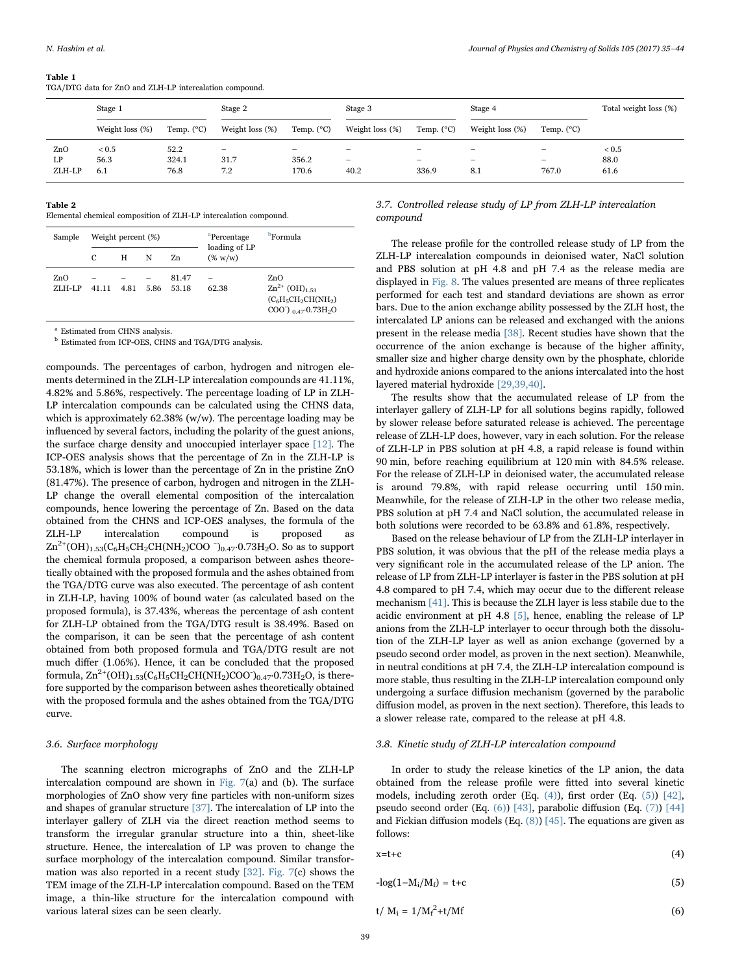<span id="page-4-0"></span>TGA/DTG data for ZnO and ZLH-LP intercalation compound.

|        | Stage 1          |                     | Stage 2         |                     | Stage 3                  |                     | Stage 4                  |                          | Total weight loss (%) |  |
|--------|------------------|---------------------|-----------------|---------------------|--------------------------|---------------------|--------------------------|--------------------------|-----------------------|--|
|        | Weight $loss(%)$ | Temp. $(^{\circ}C)$ | Weight loss (%) | Temp. $(^{\circ}C)$ | Weight loss (%)          | Temp. $(^{\circ}C)$ | Weight $loss(%)$         | Temp. $(^{\circ}C)$      |                       |  |
| ZnO    | ${}_{< 0.5}$     | 52.2                |                 |                     |                          |                     |                          | $\qquad \qquad$          | < 0.5                 |  |
| LP     | 56.3             | 324.1               | 31.7            | 356.2               | $\overline{\phantom{0}}$ |                     | $\overline{\phantom{0}}$ | $\overline{\phantom{0}}$ | 88.0                  |  |
| ZLH-LP | 6.1              | 76.8                | 7.2             | 170.6               | 40.2                     | 336.9               | 8.1                      | 767.0                    | 61.6                  |  |

# <span id="page-4-1"></span>Table 2

Elemental chemical composition of ZLH-LP intercalation compound.

| Sample        |       | Weight percent (%) |      |                | <sup>a</sup> Percentage<br>loading of LP | <b>P</b> Formula                                                                                                            |  |  |
|---------------|-------|--------------------|------|----------------|------------------------------------------|-----------------------------------------------------------------------------------------------------------------------------|--|--|
|               | C     | н                  | N    | Zn             | $(\% w/w)$                               |                                                                                                                             |  |  |
| ZnO<br>ZLH-LP | 41 11 | 4.81               | 5.86 | 81.47<br>53.18 | 62.38                                    | ZnO<br>$\rm Zn^{2+}$ (OH) <sub>1.53</sub><br>$(C_6H_5CH_2CH(NH_2)$<br>$COO^{-}$ ) $_0$ $_{47}$ $\cdot$ 0.73H <sub>2</sub> O |  |  |

Estimated from CHNS analysis.

<sup>b</sup> Estimated from ICP-OES, CHNS and TGA/DTG analysis.

compounds. The percentages of carbon, hydrogen and nitrogen elements determined in the ZLH-LP intercalation compounds are 41.11%, 4.82% and 5.86%, respectively. The percentage loading of LP in ZLH-LP intercalation compounds can be calculated using the CHNS data, which is approximately  $62.38\%$  (w/w). The percentage loading may be influenced by several factors, including the polarity of the guest anions, the surface charge density and unoccupied interlayer space [\[12\]](#page-8-8). The ICP-OES analysis shows that the percentage of Zn in the ZLH-LP is 53.18%, which is lower than the percentage of Zn in the pristine ZnO (81.47%). The presence of carbon, hydrogen and nitrogen in the ZLH-LP change the overall elemental composition of the intercalation compounds, hence lowering the percentage of Zn. Based on the data obtained from the CHNS and ICP-OES analyses, the formula of the ZLH-LP intercalation compound is proposed as  $\text{Zn}^{2+}(\text{OH})_{1.53}(\text{C}_6\text{H}_5\text{CH}_2\text{CH}(\text{NH}_2)\text{COO}^{-})_{0.47}$  0.73H<sub>2</sub>O. So as to support the chemical formula proposed, a comparison between ashes theoretically obtained with the proposed formula and the ashes obtained from the TGA/DTG curve was also executed. The percentage of ash content in ZLH-LP, having 100% of bound water (as calculated based on the proposed formula), is 37.43%, whereas the percentage of ash content for ZLH-LP obtained from the TGA/DTG result is 38.49%. Based on the comparison, it can be seen that the percentage of ash content obtained from both proposed formula and TGA/DTG result are not much differ (1.06%). Hence, it can be concluded that the proposed formula,  $\rm Zn^{2+}(OH)_{1.53}(C_6H_5CH_2CH(NH_2)COO^-)_{0.47'}O.73H_2O,$  is therefore supported by the comparison between ashes theoretically obtained with the proposed formula and the ashes obtained from the TGA/DTG curve.

## 3.6. Surface morphology

The scanning electron micrographs of ZnO and the ZLH-LP intercalation compound are shown in Fig.  $7(a)$  and (b). The surface morphologies of ZnO show very fine particles with non-uniform sizes and shapes of granular structure [\[37\]](#page-8-33). The intercalation of LP into the interlayer gallery of ZLH via the direct reaction method seems to transform the irregular granular structure into a thin, sheet-like structure. Hence, the intercalation of LP was proven to change the surface morphology of the intercalation compound. Similar transformation was also reported in a recent study [\[32\]](#page-8-29). [Fig. 7\(](#page-5-0)c) shows the TEM image of the ZLH-LP intercalation compound. Based on the TEM image, a thin-like structure for the intercalation compound with various lateral sizes can be seen clearly.

3.7. Controlled release study of LP from ZLH-LP intercalation compound

The release profile for the controlled release study of LP from the ZLH-LP intercalation compounds in deionised water, NaCl solution and PBS solution at pH 4.8 and pH 7.4 as the release media are displayed in [Fig. 8](#page-5-1). The values presented are means of three replicates performed for each test and standard deviations are shown as error bars. Due to the anion exchange ability possessed by the ZLH host, the intercalated LP anions can be released and exchanged with the anions present in the release media [\[38\].](#page-8-34) Recent studies have shown that the occurrence of the anion exchange is because of the higher affinity, smaller size and higher charge density own by the phosphate, chloride and hydroxide anions compared to the anions intercalated into the host layered material hydroxide [\[29,39,40\].](#page-8-26)

The results show that the accumulated release of LP from the interlayer gallery of ZLH-LP for all solutions begins rapidly, followed by slower release before saturated release is achieved. The percentage release of ZLH-LP does, however, vary in each solution. For the release of ZLH-LP in PBS solution at pH 4.8, a rapid release is found within 90 min, before reaching equilibrium at 120 min with 84.5% release. For the release of ZLH-LP in deionised water, the accumulated release is around 79.8%, with rapid release occurring until 150 min. Meanwhile, for the release of ZLH-LP in the other two release media, PBS solution at pH 7.4 and NaCl solution, the accumulated release in both solutions were recorded to be 63.8% and 61.8%, respectively.

Based on the release behaviour of LP from the ZLH-LP interlayer in PBS solution, it was obvious that the pH of the release media plays a very significant role in the accumulated release of the LP anion. The release of LP from ZLH-LP interlayer is faster in the PBS solution at pH 4.8 compared to pH 7.4, which may occur due to the different release mechanism [\[41\]](#page-9-0). This is because the ZLH layer is less stabile due to the acidic environment at pH 4.8 [\[5\]](#page-8-18), hence, enabling the release of LP anions from the ZLH-LP interlayer to occur through both the dissolution of the ZLH-LP layer as well as anion exchange (governed by a pseudo second order model, as proven in the next section). Meanwhile, in neutral conditions at pH 7.4, the ZLH-LP intercalation compound is more stable, thus resulting in the ZLH-LP intercalation compound only undergoing a surface diffusion mechanism (governed by the parabolic diffusion model, as proven in the next section). Therefore, this leads to a slower release rate, compared to the release at pH 4.8.

# 3.8. Kinetic study of ZLH-LP intercalation compound

In order to study the release kinetics of the LP anion, the data obtained from the release profile were fitted into several kinetic models, including zeroth order (Eq. [\(4\)](#page-4-2)), first order (Eq. [\(5\)\)](#page-4-3) [\[42\]](#page-9-1), pseudo second order (Eq. [\(6\)\)](#page-4-4) [\[43\],](#page-9-2) parabolic diffusion (Eq. [\(7\)\)](#page-5-2) [\[44\]](#page-9-3) and Fickian diffusion models (Eq. [\(8\)\)](#page-5-3) [\[45\]](#page-9-4). The equations are given as follows:

<span id="page-4-2"></span>
$$
x=t+c \tag{4}
$$

<span id="page-4-3"></span>
$$
-log(1 - M_i/M_f) = t + c \tag{5}
$$

<span id="page-4-4"></span>
$$
t/\ M_i = 1/M_f^2 + t/Mf\tag{6}
$$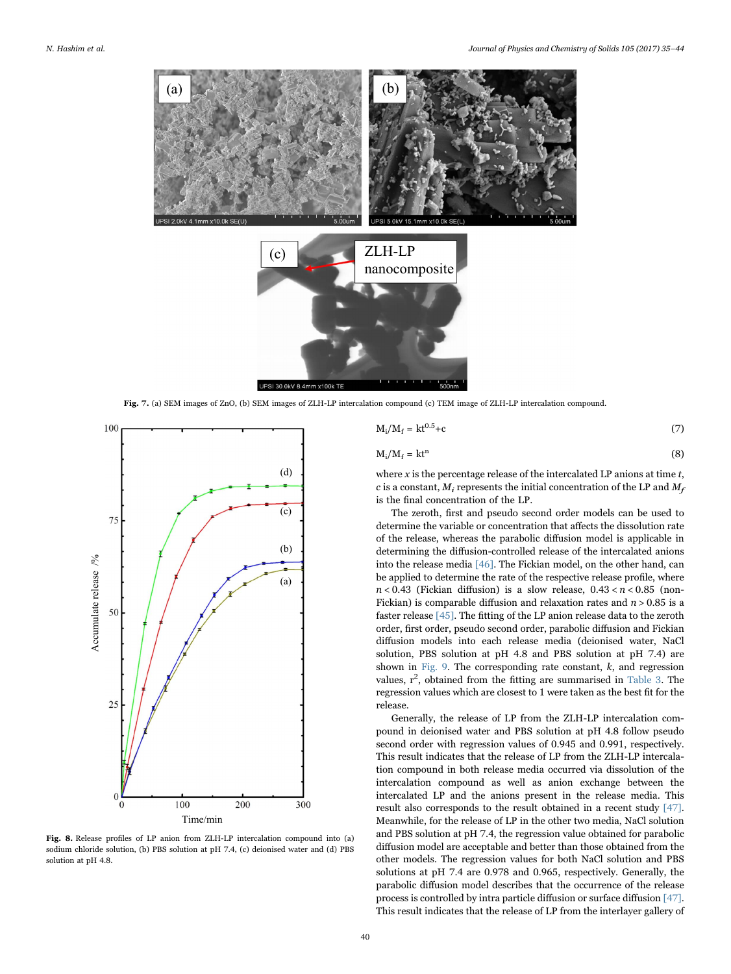<span id="page-5-0"></span>

Fig. 7. (a) SEM images of ZnO, (b) SEM images of ZLH-LP intercalation compound (c) TEM image of ZLH-LP intercalation compound.

<span id="page-5-1"></span>

Fig. 8. Release profiles of LP anion from ZLH-LP intercalation compound into (a) sodium chloride solution, (b) PBS solution at pH 7.4, (c) deionised water and (d) PBS solution at pH 4.8.

<span id="page-5-2"></span>
$$
M_i/M_f = kt^{0.5} + c \tag{7}
$$

<span id="page-5-3"></span>
$$
M_i/M_f = kt^n
$$
 (8)

where x is the percentage release of the intercalated LP anions at time  $t$ , c is a constant,  $M_i$  represents the initial concentration of the LP and  $M_f$ is the final concentration of the LP.

The zeroth, first and pseudo second order models can be used to determine the variable or concentration that affects the dissolution rate of the release, whereas the parabolic diffusion model is applicable in determining the diffusion-controlled release of the intercalated anions into the release media [\[46\]](#page-9-5). The Fickian model, on the other hand, can be applied to determine the rate of the respective release profile, where  $n < 0.43$  (Fickian diffusion) is a slow release,  $0.43 < n < 0.85$  (non-Fickian) is comparable diffusion and relaxation rates and  $n > 0.85$  is a faster release [\[45\]](#page-9-4). The fitting of the LP anion release data to the zeroth order, first order, pseudo second order, parabolic diffusion and Fickian diffusion models into each release media (deionised water, NaCl solution, PBS solution at pH 4.8 and PBS solution at pH 7.4) are shown in [Fig. 9.](#page-6-0) The corresponding rate constant,  $k$ , and regression values,  $r^2$ , obtained from the fitting are summarised in [Table 3.](#page-6-1) The regression values which are closest to 1 were taken as the best fit for the release.

Generally, the release of LP from the ZLH-LP intercalation compound in deionised water and PBS solution at pH 4.8 follow pseudo second order with regression values of 0.945 and 0.991, respectively. This result indicates that the release of LP from the ZLH-LP intercalation compound in both release media occurred via dissolution of the intercalation compound as well as anion exchange between the intercalated LP and the anions present in the release media. This result also corresponds to the result obtained in a recent study [\[47\].](#page-9-6) Meanwhile, for the release of LP in the other two media, NaCl solution and PBS solution at pH 7.4, the regression value obtained for parabolic diffusion model are acceptable and better than those obtained from the other models. The regression values for both NaCl solution and PBS solutions at pH 7.4 are 0.978 and 0.965, respectively. Generally, the parabolic diffusion model describes that the occurrence of the release process is controlled by intra particle diffusion or surface diffusion [\[47\].](#page-9-6) This result indicates that the release of LP from the interlayer gallery of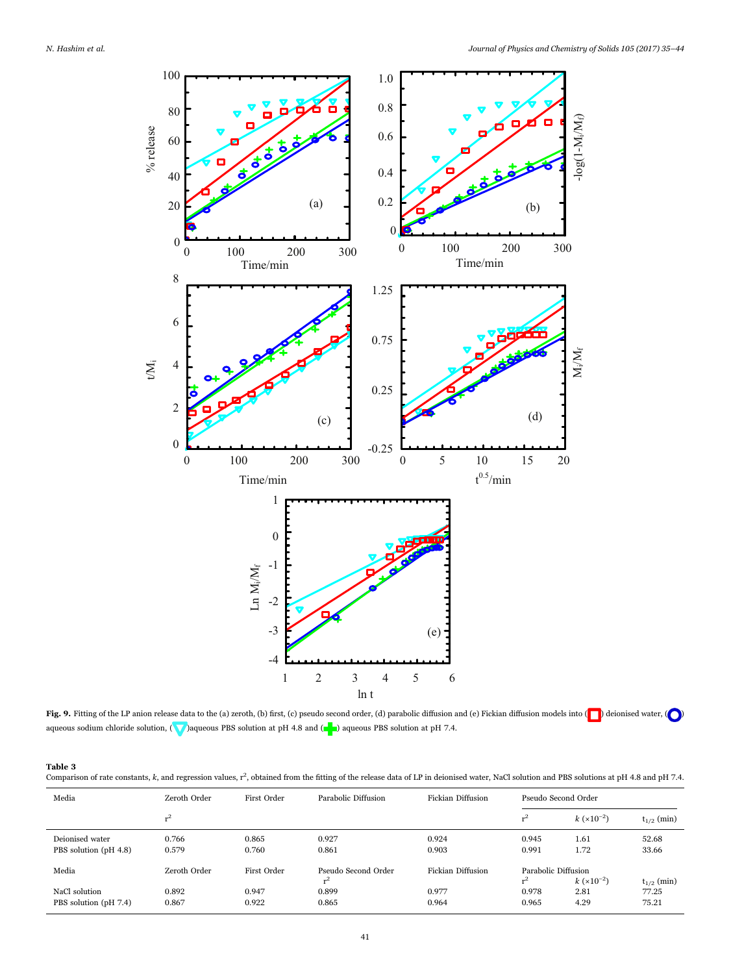<span id="page-6-0"></span>

Fig. 9. Fitting of the LP anion release data to the (a) zeroth, (b) first, (c) pseudo second order, (d) parabolic diffusion and (e) Fickian diffusion models into ( $\bigcap$ ) deionised water, ( $\bigcap$ aqueous sodium chloride solution, ( $\bigvee$ )aqueous PBS solution at pH 4.8 and ( $\bigcirc$ ) aqueous PBS solution at pH 7.4.

## <span id="page-6-1"></span>Table 3

Comparison of rate constants, k, and regression values,  $r^2$ , obtained from the fitting of the release data of LP in deionised water, NaCl solution and PBS solutions at pH 4.8 and pH 7.4.

| Media                                    | Zeroth Order   | First Order    | Parabolic Diffusion                   | Fickian Diffusion |                              | Pseudo Second Order           |                                   |
|------------------------------------------|----------------|----------------|---------------------------------------|-------------------|------------------------------|-------------------------------|-----------------------------------|
|                                          | $r^2$          |                |                                       |                   | $r^2$                        | $k(x10^{-2})$                 | $t_{1/2}$ (min)                   |
| Deionised water<br>PBS solution (pH 4.8) | 0.766<br>0.579 | 0.865<br>0.760 | 0.927<br>0.861                        | 0.924<br>0.903    | 0.945<br>0.991               | 1.61<br>1.72                  | 52.68<br>33.66                    |
| Media                                    | Zeroth Order   | First Order    | Pseudo Second Order<br>$\mathbf{r}^2$ | Fickian Diffusion | Parabolic Diffusion<br>$r^2$ |                               |                                   |
| NaCl solution<br>PBS solution (pH 7.4)   | 0.892<br>0.867 | 0.947<br>0.922 | 0.899<br>0.865                        | 0.977<br>0.964    | 0.978<br>0.965               | $k(x10^{-2})$<br>2.81<br>4.29 | $t_{1/2}$ (min)<br>77.25<br>75.21 |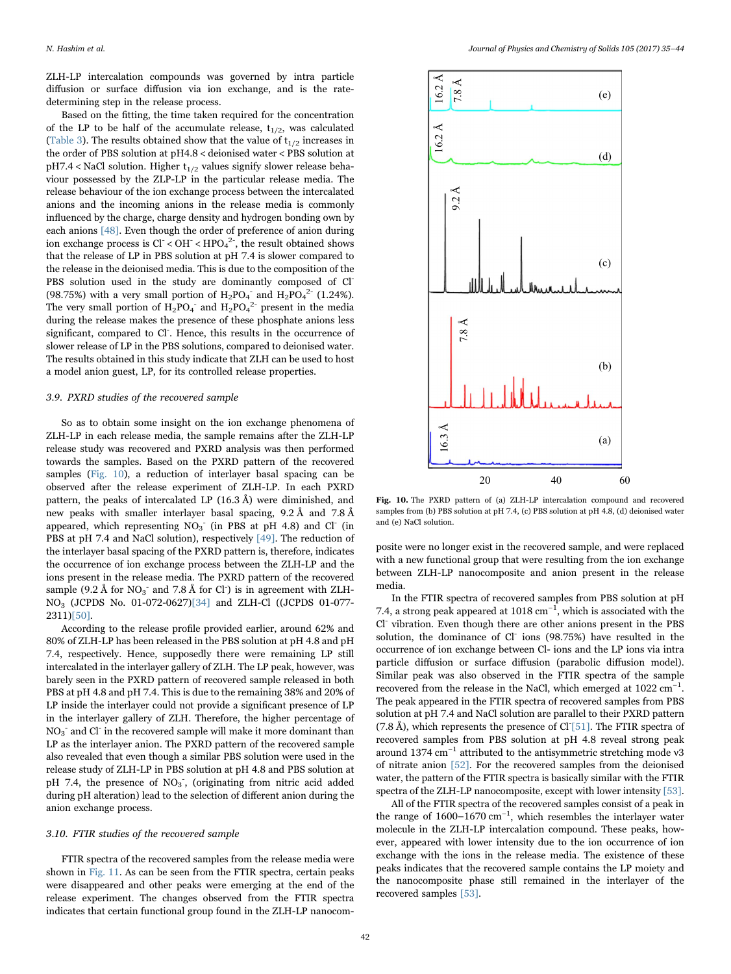ZLH-LP intercalation compounds was governed by intra particle diffusion or surface diffusion via ion exchange, and is the ratedetermining step in the release process.

Based on the fitting, the time taken required for the concentration of the LP to be half of the accumulate release,  $t_{1/2}$ , was calculated ([Table 3](#page-6-1)). The results obtained show that the value of  $t_{1/2}$  increases in the order of PBS solution at pH4.8 < deionised water < PBS solution at  $pH7.4 <$  NaCl solution. Higher  $t_{1/2}$  values signify slower release behaviour possessed by the ZLP-LP in the particular release media. The release behaviour of the ion exchange process between the intercalated anions and the incoming anions in the release media is commonly influenced by the charge, charge density and hydrogen bonding own by each anions [\[48\]](#page-9-7). Even though the order of preference of anion during ion exchange process is  $Cl^- < OH^- < HPO_4^2$ , the result obtained shows that the release of LP in PBS solution at pH 7.4 is slower compared to the release in the deionised media. This is due to the composition of the PBS solution used in the study are dominantly composed of Cl<sup>-</sup> (98.75%) with a very small portion of  $H_2PO_4^-$  and  $H_2PO_4^{2-}$  (1.24%). The very small portion of  $H_2PO_4^-$  and  $H_2PO_4^2$  present in the media during the release makes the presence of these phosphate anions less significant, compared to Cl<sup>-</sup>. Hence, this results in the occurrence of slower release of LP in the PBS solutions, compared to deionised water. The results obtained in this study indicate that ZLH can be used to host a model anion guest, LP, for its controlled release properties.

#### 3.9. PXRD studies of the recovered sample

So as to obtain some insight on the ion exchange phenomena of ZLH-LP in each release media, the sample remains after the ZLH-LP release study was recovered and PXRD analysis was then performed towards the samples. Based on the PXRD pattern of the recovered samples ([Fig. 10\)](#page-7-0), a reduction of interlayer basal spacing can be observed after the release experiment of ZLH-LP. In each PXRD pattern, the peaks of intercalated LP (16.3 Å) were diminished, and new peaks with smaller interlayer basal spacing, 9.2 Å and 7.8 Å appeared, which representing  $NO<sub>3</sub>^-$  (in PBS at pH 4.8) and Cl<sup>-</sup> (in PBS at pH 7.4 and NaCl solution), respectively [\[49\]](#page-9-8). The reduction of the interlayer basal spacing of the PXRD pattern is, therefore, indicates the occurrence of ion exchange process between the ZLH-LP and the ions present in the release media. The PXRD pattern of the recovered sample (9.2 Å for  $NO_3^-$  and 7.8 Å for Cl<sup>-</sup>) is in agreement with ZLH-NO3 (JCPDS No. 01-072-0627[\)\[34\]](#page-8-35) and ZLH-Cl ((JCPDS 01-077- 2311)[\[50\]](#page-9-9).

According to the release profile provided earlier, around 62% and 80% of ZLH-LP has been released in the PBS solution at pH 4.8 and pH 7.4, respectively. Hence, supposedly there were remaining LP still intercalated in the interlayer gallery of ZLH. The LP peak, however, was barely seen in the PXRD pattern of recovered sample released in both PBS at pH 4.8 and pH 7.4. This is due to the remaining 38% and 20% of LP inside the interlayer could not provide a significant presence of LP in the interlayer gallery of ZLH. Therefore, the higher percentage of  $NO<sub>3</sub>$ <sup>-</sup> and Cl<sup>-</sup> in the recovered sample will make it more dominant than LP as the interlayer anion. The PXRD pattern of the recovered sample also revealed that even though a similar PBS solution were used in the release study of ZLH-LP in PBS solution at pH 4.8 and PBS solution at pH 7.4, the presence of NO<sub>3</sub><sup>-</sup>, (originating from nitric acid added during pH alteration) lead to the selection of different anion during the anion exchange process.

#### 3.10. FTIR studies of the recovered sample

FTIR spectra of the recovered samples from the release media were shown in [Fig. 11](#page-8-36). As can be seen from the FTIR spectra, certain peaks were disappeared and other peaks were emerging at the end of the release experiment. The changes observed from the FTIR spectra indicates that certain functional group found in the ZLH-LP nanocom-

<span id="page-7-0"></span>

Fig. 10. The PXRD pattern of (a) ZLH-LP intercalation compound and recovered samples from (b) PBS solution at pH 7.4, (c) PBS solution at pH 4.8, (d) deionised water and (e) NaCl solution.

posite were no longer exist in the recovered sample, and were replaced with a new functional group that were resulting from the ion exchange between ZLH-LP nanocomposite and anion present in the release media.

In the FTIR spectra of recovered samples from PBS solution at pH 7.4, a strong peak appeared at 1018 cm<sup>-1</sup>, which is associated with the Cl- vibration. Even though there are other anions present in the PBS solution, the dominance of Cl<sup>-</sup> ions (98.75%) have resulted in the occurrence of ion exchange between Cl- ions and the LP ions via intra particle diffusion or surface diffusion (parabolic diffusion model). Similar peak was also observed in the FTIR spectra of the sample recovered from the release in the NaCl, which emerged at  $1022 \text{ cm}^{-1}$ . The peak appeared in the FTIR spectra of recovered samples from PBS solution at pH 7.4 and NaCl solution are parallel to their PXRD pattern (7.8 Å), which represents the presence of  $Cl[51]$ . The FTIR spectra of recovered samples from PBS solution at pH 4.8 reveal strong peak around 1374 cm−<sup>1</sup> attributed to the antisymmetric stretching mode ν3 of nitrate anion [\[52\]](#page-9-11). For the recovered samples from the deionised water, the pattern of the FTIR spectra is basically similar with the FTIR spectra of the ZLH-LP nanocomposite, except with lower intensity [\[53\].](#page-9-12)

All of the FTIR spectra of the recovered samples consist of a peak in the range of  $1600-1670$  cm<sup>-1</sup>, which resembles the interlayer water molecule in the ZLH-LP intercalation compound. These peaks, however, appeared with lower intensity due to the ion occurrence of ion exchange with the ions in the release media. The existence of these peaks indicates that the recovered sample contains the LP moiety and the nanocomposite phase still remained in the interlayer of the recovered samples [\[53\].](#page-9-12)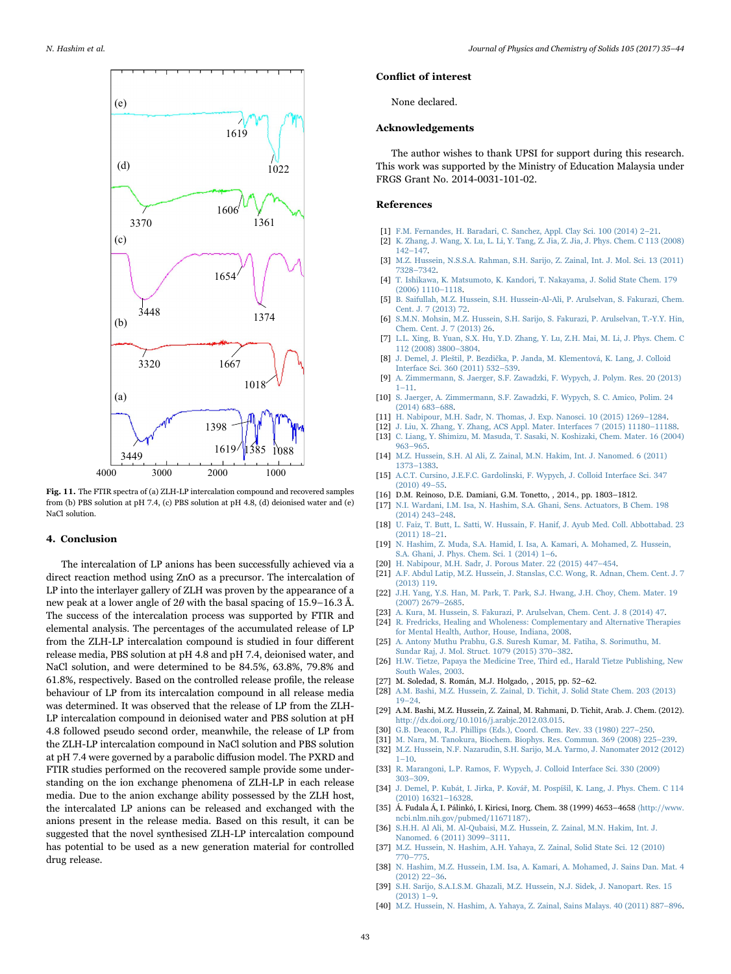<span id="page-8-36"></span>

Fig. 11. The FTIR spectra of (a) ZLH-LP intercalation compound and recovered samples from (b) PBS solution at pH 7.4, (c) PBS solution at pH 4.8, (d) deionised water and (e) NaCl solution.

# 4. Conclusion

The intercalation of LP anions has been successfully achieved via a direct reaction method using ZnO as a precursor. The intercalation of LP into the interlayer gallery of ZLH was proven by the appearance of a new peak at a lower angle of  $2\theta$  with the basal spacing of 15.9–16.3 Å. The success of the intercalation process was supported by FTIR and elemental analysis. The percentages of the accumulated release of LP from the ZLH-LP intercalation compound is studied in four different release media, PBS solution at pH 4.8 and pH 7.4, deionised water, and NaCl solution, and were determined to be 84.5%, 63.8%, 79.8% and 61.8%, respectively. Based on the controlled release profile, the release behaviour of LP from its intercalation compound in all release media was determined. It was observed that the release of LP from the ZLH-LP intercalation compound in deionised water and PBS solution at pH 4.8 followed pseudo second order, meanwhile, the release of LP from the ZLH-LP intercalation compound in NaCl solution and PBS solution at pH 7.4 were governed by a parabolic diffusion model. The PXRD and FTIR studies performed on the recovered sample provide some understanding on the ion exchange phenomena of ZLH-LP in each release media. Due to the anion exchange ability possessed by the ZLH host, the intercalated LP anions can be released and exchanged with the anions present in the release media. Based on this result, it can be suggested that the novel synthesised ZLH-LP intercalation compound has potential to be used as a new generation material for controlled drug release.

#### Conflict of interest

None declared.

#### Acknowledgements

The author wishes to thank UPSI for support during this research. This work was supported by the Ministry of Education Malaysia under FRGS Grant No. 2014-0031-101-02.

### References

- <span id="page-8-0"></span>[1] [F.M. Fernandes, H. Baradari, C. Sanchez, Appl. Clay Sci. 100 \(2014\) 2](http://refhub.elsevier.com/S0022-3697(16)30761-2/sbref1)–21.
- <span id="page-8-1"></span>[2] [K. Zhang, J. Wang, X. Lu, L. Li, Y. Tang, Z. Jia, Z. Jia, J. Phys. Chem. C 113 \(2008\)](http://refhub.elsevier.com/S0022-3697(16)30761-2/sbref2) 142–[147.](http://refhub.elsevier.com/S0022-3697(16)30761-2/sbref2)
- <span id="page-8-2"></span>[3] [M.Z. Hussein, N.S.S.A. Rahman, S.H. Sarijo, Z. Zainal, Int. J. Mol. Sci. 13 \(2011\)](http://refhub.elsevier.com/S0022-3697(16)30761-2/sbref3) 7328–[7342.](http://refhub.elsevier.com/S0022-3697(16)30761-2/sbref3)
- [4] [T. Ishikawa, K. Matsumoto, K. Kandori, T. Nakayama, J. Solid State Chem. 179](http://refhub.elsevier.com/S0022-3697(16)30761-2/sbref4) [\(2006\) 1110](http://refhub.elsevier.com/S0022-3697(16)30761-2/sbref4)–1118.
- <span id="page-8-18"></span>[5] [B. Saifullah, M.Z. Hussein, S.H. Hussein-Al-Ali, P. Arulselvan, S. Fakurazi, Chem.](http://refhub.elsevier.com/S0022-3697(16)30761-2/sbref5) [Cent. J. 7 \(2013\) 72.](http://refhub.elsevier.com/S0022-3697(16)30761-2/sbref5) [6] [S.M.N. Mohsin, M.Z. Hussein, S.H. Sarijo, S. Fakurazi, P. Arulselvan, T.-Y.Y. Hin,](http://refhub.elsevier.com/S0022-3697(16)30761-2/sbref6)
- <span id="page-8-31"></span><span id="page-8-5"></span>[Chem. Cent. J. 7 \(2013\) 26.](http://refhub.elsevier.com/S0022-3697(16)30761-2/sbref6) [7] [L.L. Xing, B. Yuan, S.X. Hu, Y.D. Zhang, Y. Lu, Z.H. Mai, M. Li, J. Phys. Chem. C](http://refhub.elsevier.com/S0022-3697(16)30761-2/sbref7)
- [112 \(2008\) 3800](http://refhub.elsevier.com/S0022-3697(16)30761-2/sbref7)–3804. [8] J. Demel, J. Pleštil, P. Bezdič[ka, P. Janda, M. Klementová, K. Lang, J. Colloid](http://refhub.elsevier.com/S0022-3697(16)30761-2/sbref8)
- <span id="page-8-3"></span>[Interface Sci. 360 \(2011\) 532](http://refhub.elsevier.com/S0022-3697(16)30761-2/sbref8)–539.
- <span id="page-8-4"></span>[9] [A. Zimmermann, S. Jaerger, S.F. Zawadzki, F. Wypych, J. Polym. Res. 20 \(2013\)](http://refhub.elsevier.com/S0022-3697(16)30761-2/sbref9) 1–[11.](http://refhub.elsevier.com/S0022-3697(16)30761-2/sbref9)
- <span id="page-8-6"></span>[10] [S. Jaerger, A. Zimmermann, S.F. Zawadzki, F. Wypych, S. C. Amico, Polim. 24](http://refhub.elsevier.com/S0022-3697(16)30761-2/sbref10) [\(2014\) 683](http://refhub.elsevier.com/S0022-3697(16)30761-2/sbref10)–688.
- <span id="page-8-7"></span>[11] [H. Nabipour, M.H. Sadr, N. Thomas, J. Exp. Nanosci. 10 \(2015\) 1269](http://refhub.elsevier.com/S0022-3697(16)30761-2/sbref11)–1284.
- <span id="page-8-8"></span>[12] [J. Liu, X. Zhang, Y. Zhang, ACS Appl. Mater. Interfaces 7 \(2015\) 11180](http://refhub.elsevier.com/S0022-3697(16)30761-2/sbref12)–11188.
- <span id="page-8-9"></span>[13] [C. Liang, Y. Shimizu, M. Masuda, T. Sasaki, N. Koshizaki, Chem. Mater. 16 \(2004\)](http://refhub.elsevier.com/S0022-3697(16)30761-2/sbref13) 963–[965.](http://refhub.elsevier.com/S0022-3697(16)30761-2/sbref13)
- <span id="page-8-10"></span>[14] [M.Z. Hussein, S.H. Al Ali, Z. Zainal, M.N. Hakim, Int. J. Nanomed. 6 \(2011\)](http://refhub.elsevier.com/S0022-3697(16)30761-2/sbref14) 1373–[1383.](http://refhub.elsevier.com/S0022-3697(16)30761-2/sbref14)
- <span id="page-8-11"></span>[15] [A.C.T. Cursino, J.E.F.C. Gardolinski, F. Wypych, J. Colloid Interface Sci. 347](http://refhub.elsevier.com/S0022-3697(16)30761-2/sbref15) [\(2010\) 49](http://refhub.elsevier.com/S0022-3697(16)30761-2/sbref15)–55.
- <span id="page-8-12"></span>[16] D.M. Reinoso, D.E. Damiani, G.M. Tonetto, , 2014., pp. 1803–1812.
- <span id="page-8-13"></span>[17] [N.I. Wardani, I.M. Isa, N. Hashim, S.A. Ghani, Sens. Actuators, B Chem. 198](http://refhub.elsevier.com/S0022-3697(16)30761-2/sbref16) [\(2014\) 243](http://refhub.elsevier.com/S0022-3697(16)30761-2/sbref16)–248.
- <span id="page-8-14"></span>[18] [U. Faiz, T. Butt, L. Satti, W. Hussain, F. Hanif, J. Ayub Med. Coll. Abbottabad. 23](http://refhub.elsevier.com/S0022-3697(16)30761-2/sbref17) [\(2011\) 18](http://refhub.elsevier.com/S0022-3697(16)30761-2/sbref17)–21.
- <span id="page-8-15"></span>[19] N. [Hashim, Z. Muda, S.A. Hamid, I. Isa, A. Kamari, A. Mohamed, Z. Hussein,](http://refhub.elsevier.com/S0022-3697(16)30761-2/sbref18) [S.A. Ghani, J. Phys. Chem. Sci. 1 \(2014\) 1](http://refhub.elsevier.com/S0022-3697(16)30761-2/sbref18)–6.
- <span id="page-8-16"></span>[20] [H. Nabipour, M.H. Sadr, J. Porous Mater. 22 \(2015\) 447](http://refhub.elsevier.com/S0022-3697(16)30761-2/sbref19)–454.
- <span id="page-8-17"></span>[21] [A.F. Abdul Latip, M.Z. Hussein, J. Stanslas, C.C. Wong, R. Adnan, Chem. Cent. J. 7](http://refhub.elsevier.com/S0022-3697(16)30761-2/sbref20) [\(2013\) 119.](http://refhub.elsevier.com/S0022-3697(16)30761-2/sbref20)
- <span id="page-8-19"></span>[22] [J.H. Yang, Y.S. Han, M. Park, T. Park, S.J. Hwang, J.H. Choy, Chem. Mater. 19](http://refhub.elsevier.com/S0022-3697(16)30761-2/sbref21) [\(2007\) 2679](http://refhub.elsevier.com/S0022-3697(16)30761-2/sbref21)–2685.
- <span id="page-8-20"></span>[23] [A. Kura, M. Hussein, S. Fakurazi, P. Arulselvan, Chem. Cent. J. 8 \(2014\) 47.](http://refhub.elsevier.com/S0022-3697(16)30761-2/sbref22)
- <span id="page-8-21"></span>[24] [R. Fredricks, Healing and Wholeness: Complementary and Alternative Therapies](http://refhub.elsevier.com/S0022-3697(16)30761-2/sbref23) [for Mental Health, Author, House, Indiana, 2008.](http://refhub.elsevier.com/S0022-3697(16)30761-2/sbref23)
- <span id="page-8-22"></span>[25] [A. Antony Muthu Prabhu, G.S. Suresh Kumar, M. Fatiha, S. Sorimuthu, M.](http://refhub.elsevier.com/S0022-3697(16)30761-2/sbref24) [Sundar Raj, J. Mol. Struct. 1079 \(2015\) 370](http://refhub.elsevier.com/S0022-3697(16)30761-2/sbref24)–382.
- <span id="page-8-23"></span>[26] [H.W. Tietze, Papaya the Medicine Tree, Third ed., Harald Tietze Publishing, New](http://refhub.elsevier.com/S0022-3697(16)30761-2/sbref25) [South Wales, 2003.](http://refhub.elsevier.com/S0022-3697(16)30761-2/sbref25)
- <span id="page-8-24"></span>[27] M. Soledad, S. Román, M.J. Holgado, , 2015, pp. 52–62.
- <span id="page-8-25"></span>[28] [A.M. Bashi, M.Z. Hussein, Z. Zainal, D. Tichit, J. Solid State Chem. 203 \(2013\)](http://refhub.elsevier.com/S0022-3697(16)30761-2/sbref26) 19–[24.](http://refhub.elsevier.com/S0022-3697(16)30761-2/sbref26)
- <span id="page-8-26"></span>[29] A.M. Bashi, M.Z. Hussein, Z. Zainal, M. Rahmani, D. Tichit, Arab. J. Chem. (2012). [http://dx.doi.org/10.1016/j.arabjc.2012.03.015.](http://dx.doi.org/10.1016/j.arabjc.2012.03.015)
- <span id="page-8-27"></span>[30] [G.B. Deacon, R.J. Phillips \(Eds.\), Coord. Chem. Rev. 33 \(1980\) 227](http://refhub.elsevier.com/S0022-3697(16)30761-2/sbref28)–250.
- <span id="page-8-29"></span><span id="page-8-28"></span>[31] [M. Nara, M. Tanokura, Biochem. Biophys. Res. Commun. 369 \(2008\) 225](http://refhub.elsevier.com/S0022-3697(16)30761-2/sbref29)–239. [32] [M.Z. Hussein, N.F. Nazarudin, S.H. Sarijo, M.A. Yarmo, J. Nanomater 2012 \(2012\)](http://refhub.elsevier.com/S0022-3697(16)30761-2/sbref30)
- $1 10$ .
- <span id="page-8-30"></span>[33] [R. Marangoni, L.P. Ramos, F. Wypych, J. Colloid Interface Sci. 330 \(2009\)](http://refhub.elsevier.com/S0022-3697(16)30761-2/sbref31) 303–[309.](http://refhub.elsevier.com/S0022-3697(16)30761-2/sbref31)
- <span id="page-8-35"></span>[34] [J. Demel, P. Kubát, I. Jirka, P. Ková](http://refhub.elsevier.com/S0022-3697(16)30761-2/sbref32)ř, M. Pospíšil, K. Lang, J. Phys. Chem. C 114 [\(2010\) 16321](http://refhub.elsevier.com/S0022-3697(16)30761-2/sbref32)–16328. [35] Á. Fudala Á, I. Pálinkó, I. Kiricsi, Inorg. Chem. 38 (1999) 4653–4658 〈[http://www.](http://www.ncbi.nlm.nih.gov/pubmed/11671187)
- <span id="page-8-32"></span>[ncbi.nlm.nih.gov/pubmed/11671187](http://www.ncbi.nlm.nih.gov/pubmed/11671187)〉. [36] [S.H.H. Al Ali, M. Al-Qubaisi, M.Z. Hussein, Z. Zainal, M.N. Hakim, Int. J.](http://refhub.elsevier.com/S0022-3697(16)30761-2/sbref34)
- [Nanomed. 6 \(2011\) 3099](http://refhub.elsevier.com/S0022-3697(16)30761-2/sbref34)–3111. [37] [M.Z. Hussein, N. Hashim, A.H. Yahaya, Z. Zainal, Solid State Sci. 12 \(2010\)](http://refhub.elsevier.com/S0022-3697(16)30761-2/sbref35)
- <span id="page-8-33"></span>770–[775.](http://refhub.elsevier.com/S0022-3697(16)30761-2/sbref35)
- <span id="page-8-34"></span>[38] N. [Hashim, M.Z. Hussein, I.M. Isa, A. Kamari, A. Mohamed, J. Sains Dan. Mat. 4](http://refhub.elsevier.com/S0022-3697(16)30761-2/sbref36) [\(2012\) 22](http://refhub.elsevier.com/S0022-3697(16)30761-2/sbref36)–36.
- [39] [S.H. Sarijo, S.A.I.S.M. Ghazali, M.Z. Hussein, N.J. Sidek, J. Nanopart. Res. 15](http://refhub.elsevier.com/S0022-3697(16)30761-2/sbref37)  $(2013)$  1–9.
- [40] [M.Z. Hussein, N. Hashim, A. Yahaya, Z. Zainal, Sains Malays. 40 \(2011\) 887](http://refhub.elsevier.com/S0022-3697(16)30761-2/sbref38)–896.